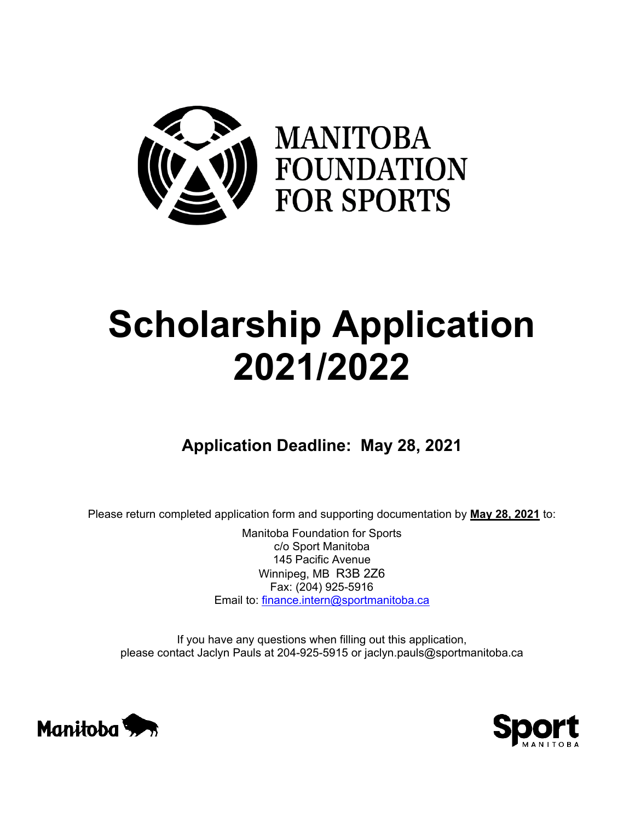

# **Scholarship Application 2021/2022**

# **Application Deadline: May 28, 2021**

Please return completed application form and supporting documentation by **May 28, 2021** to:

Manitoba Foundation for Sports c/o Sport Manitoba 145 Pacific Avenue Winnipeg, MB R3B 2Z6 Fax: (204) 925-5916 Email to: [finance.intern@sportmanitoba.ca](mailto:finance.intern@sportmanitoba.ca)

If you have any questions when filling out this application, please contact Jaclyn Pauls at 204-925-5915 or jaclyn.pauls@sportmanitoba.ca



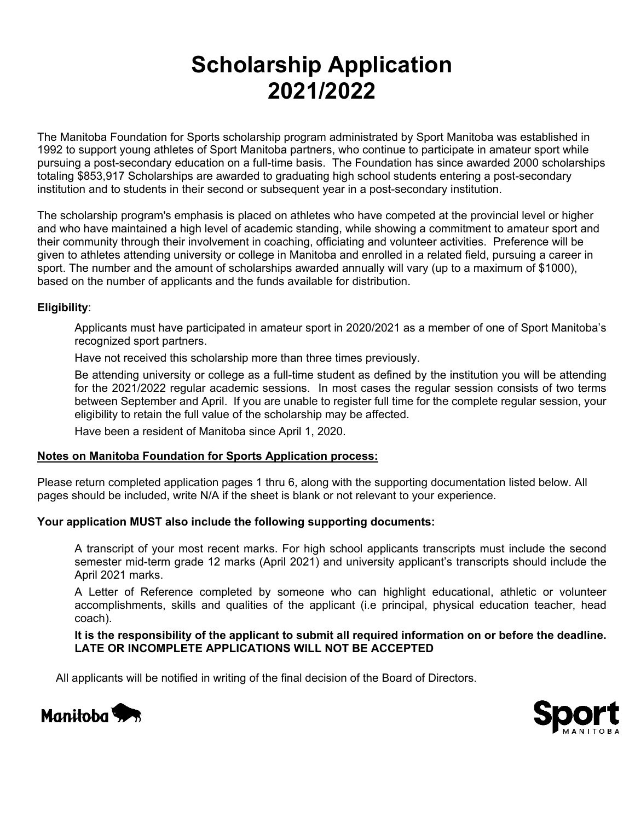# **Scholarship Application 2021/2022**

The Manitoba Foundation for Sports scholarship program administrated by Sport Manitoba was established in 1992 to support young athletes of Sport Manitoba partners, who continue to participate in amateur sport while pursuing a post-secondary education on a full-time basis. The Foundation has since awarded 2000 scholarships totaling \$853,917 Scholarships are awarded to graduating high school students entering a post-secondary institution and to students in their second or subsequent year in a post-secondary institution.

The scholarship program's emphasis is placed on athletes who have competed at the provincial level or higher and who have maintained a high level of academic standing, while showing a commitment to amateur sport and their community through their involvement in coaching, officiating and volunteer activities. Preference will be given to athletes attending university or college in Manitoba and enrolled in a related field, pursuing a career in sport. The number and the amount of scholarships awarded annually will vary (up to a maximum of \$1000), based on the number of applicants and the funds available for distribution.

## **Eligibility**:

Applicants must have participated in amateur sport in 2020/2021 as a member of one of Sport Manitoba's recognized sport partners.

Have not received this scholarship more than three times previously.

Be attending university or college as a full-time student as defined by the institution you will be attending for the 2021/2022 regular academic sessions. In most cases the regular session consists of two terms between September and April. If you are unable to register full time for the complete regular session, your eligibility to retain the full value of the scholarship may be affected.

Have been a resident of Manitoba since April 1, 2020.

#### **Notes on Manitoba Foundation for Sports Application process:**

Please return completed application pages 1 thru 6, along with the supporting documentation listed below. All pages should be included, write N/A if the sheet is blank or not relevant to your experience.

#### **Your application MUST also include the following supporting documents:**

A transcript of your most recent marks. For high school applicants transcripts must include the second semester mid-term grade 12 marks (April 2021) and university applicant's transcripts should include the April 2021 marks.

A Letter of Reference completed by someone who can highlight educational, athletic or volunteer accomplishments, skills and qualities of the applicant (i.e principal, physical education teacher, head coach).

**It is the responsibility of the applicant to submit all required information on or before the deadline. LATE OR INCOMPLETE APPLICATIONS WILL NOT BE ACCEPTED**

All applicants will be notified in writing of the final decision of the Board of Directors.



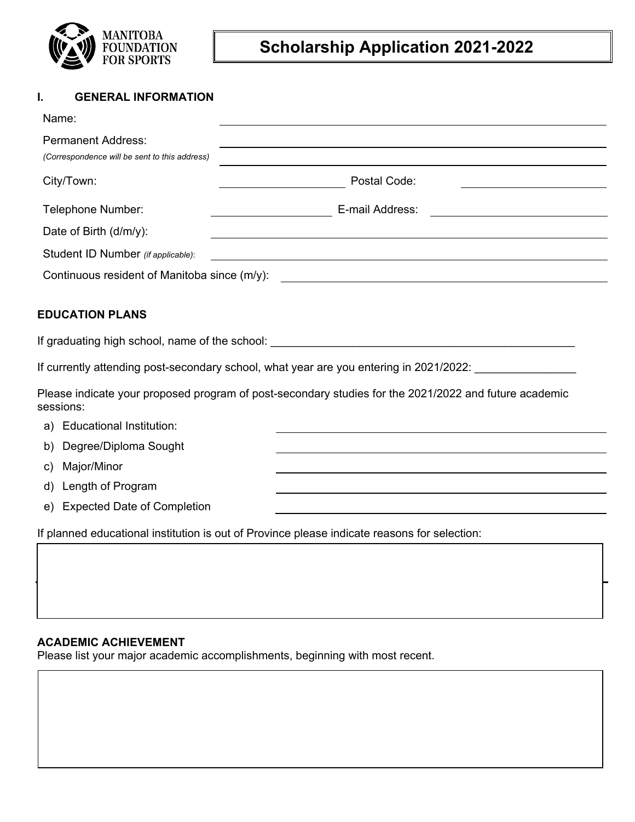

# **Scholarship Application 2021-2022**

# **I. GENERAL INFORMATION**

| Name:                                                                                                              |                 |  |  |  |  |  |  |
|--------------------------------------------------------------------------------------------------------------------|-----------------|--|--|--|--|--|--|
| <b>Permanent Address:</b><br>(Correspondence will be sent to this address)                                         |                 |  |  |  |  |  |  |
| City/Town:                                                                                                         | Postal Code:    |  |  |  |  |  |  |
| Telephone Number:                                                                                                  | E-mail Address: |  |  |  |  |  |  |
| Date of Birth (d/m/y):                                                                                             |                 |  |  |  |  |  |  |
| Student ID Number (if applicable):                                                                                 |                 |  |  |  |  |  |  |
| Continuous resident of Manitoba since (m/y):                                                                       |                 |  |  |  |  |  |  |
| <b>EDUCATION PLANS</b>                                                                                             |                 |  |  |  |  |  |  |
|                                                                                                                    |                 |  |  |  |  |  |  |
| If currently attending post-secondary school, what year are you entering in 2021/2022: _____________               |                 |  |  |  |  |  |  |
| Please indicate your proposed program of post-secondary studies for the 2021/2022 and future academic<br>sessions: |                 |  |  |  |  |  |  |
| a) Educational Institution:                                                                                        |                 |  |  |  |  |  |  |
| b) Degree/Diploma Sought                                                                                           |                 |  |  |  |  |  |  |
| Major/Minor<br>C)                                                                                                  |                 |  |  |  |  |  |  |

d) Length of Program

e) Expected Date of Completion

If planned educational institution is out of Province please indicate reasons for selection:

# **ACADEMIC ACHIEVEMENT**

**1. High School Programs** 

Please list your major academic accomplishments, beginning with most recent.

**CONTRIBUTION TO THE MANITOBA AMATEUR SPORT COMMUNITY**

**CONTRIBUTION TO THE MANITOBA AMATEUR SPORT COMMUNITY**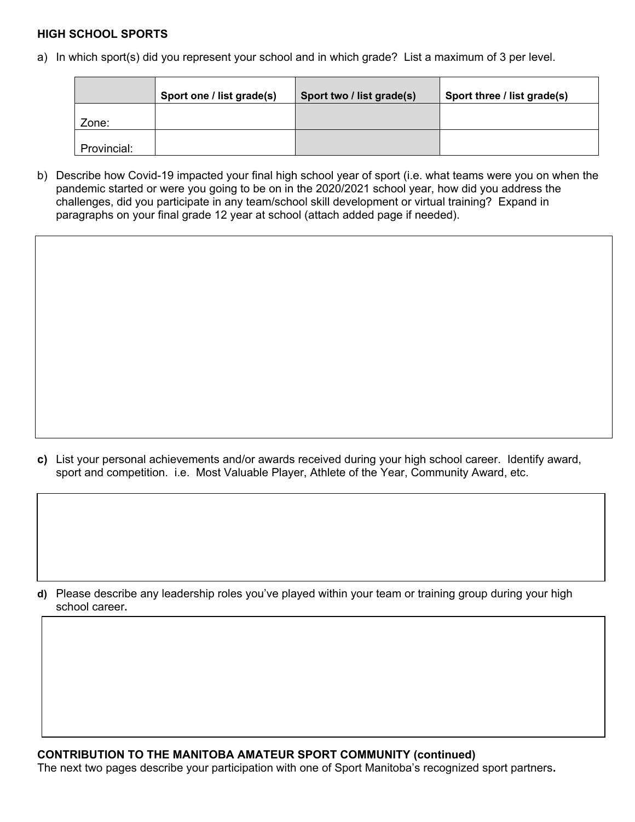## **HIGH SCHOOL SPORTS**

a) In which sport(s) did you represent your school and in which grade? List a maximum of 3 per level.

|             | Sport one / list grade(s) | Sport two / list grade(s) | Sport three / list grade(s) |
|-------------|---------------------------|---------------------------|-----------------------------|
| Zone:       |                           |                           |                             |
| Provincial: |                           |                           |                             |

b) Describe how Covid-19 impacted your final high school year of sport (i.e. what teams were you on when the pandemic started or were you going to be on in the 2020/2021 school year, how did you address the challenges, did you participate in any team/school skill development or virtual training? Expand in paragraphs on your final grade 12 year at school (attach added page if needed).

**c)** List your personal achievements and/or awards received during your high school career. Identify award, sport and competition. i.e.Most Valuable Player, Athlete of the Year, Community Award, etc.

**d)** Please describe any leadership roles you've played within your team or training group during your high school career**.**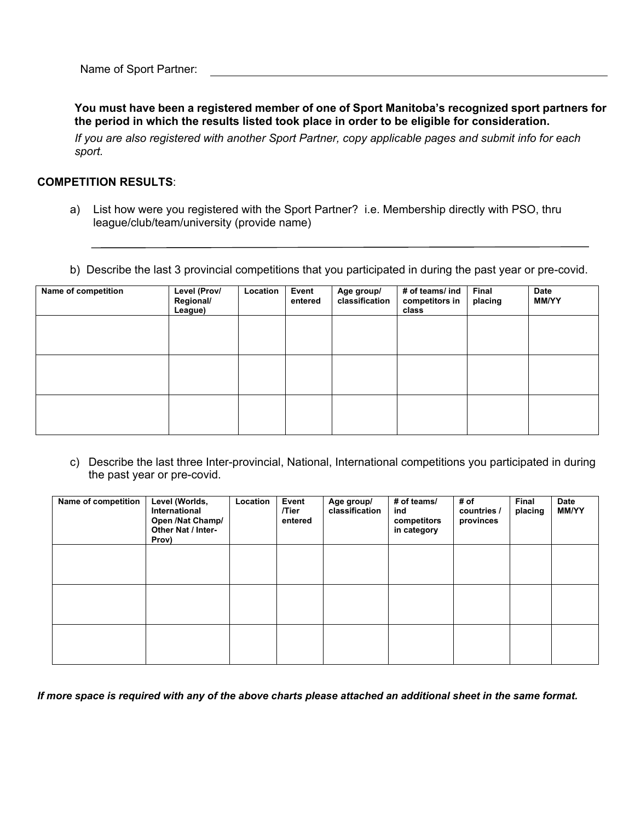Name of Sport Partner:

**You must have been a registered member of one of Sport Manitoba's recognized sport partners for the period in which the results listed took place in order to be eligible for consideration.**

*If you are also registered with another Sport Partner, copy applicable pages and submit info for each sport.*

## **COMPETITION RESULTS**:

- a) List how were you registered with the Sport Partner? i.e. Membership directly with PSO, thru league/club/team/university (provide name)
- b) Describe the last 3 provincial competitions that you participated in during the past year or pre-covid.

| Name of competition | Level (Prov/<br>Regional/<br>League) | Location | Event<br>entered | Age group/<br>classification | # of teams/ ind<br>competitors in<br>class | Final<br>placing | Date<br><b>MM/YY</b> |
|---------------------|--------------------------------------|----------|------------------|------------------------------|--------------------------------------------|------------------|----------------------|
|                     |                                      |          |                  |                              |                                            |                  |                      |
|                     |                                      |          |                  |                              |                                            |                  |                      |
|                     |                                      |          |                  |                              |                                            |                  |                      |
|                     |                                      |          |                  |                              |                                            |                  |                      |

c) Describe the last three Inter-provincial, National, International competitions you participated in during the past year or pre-covid.

| Name of competition | Level (Worlds,<br>International<br>Open /Nat Champ/<br><b>Other Nat / Inter-</b><br>Prov) | Location | Event<br>/Tier<br>entered | Age group/<br>classification | # of teams/<br>ind<br>competitors<br>in category | # of<br>countries /<br>provinces | Final<br>placing | Date<br><b>MM/YY</b> |
|---------------------|-------------------------------------------------------------------------------------------|----------|---------------------------|------------------------------|--------------------------------------------------|----------------------------------|------------------|----------------------|
|                     |                                                                                           |          |                           |                              |                                                  |                                  |                  |                      |
|                     |                                                                                           |          |                           |                              |                                                  |                                  |                  |                      |
|                     |                                                                                           |          |                           |                              |                                                  |                                  |                  |                      |

*If more space is required with any of the above charts please attached an additional sheet in the same format.*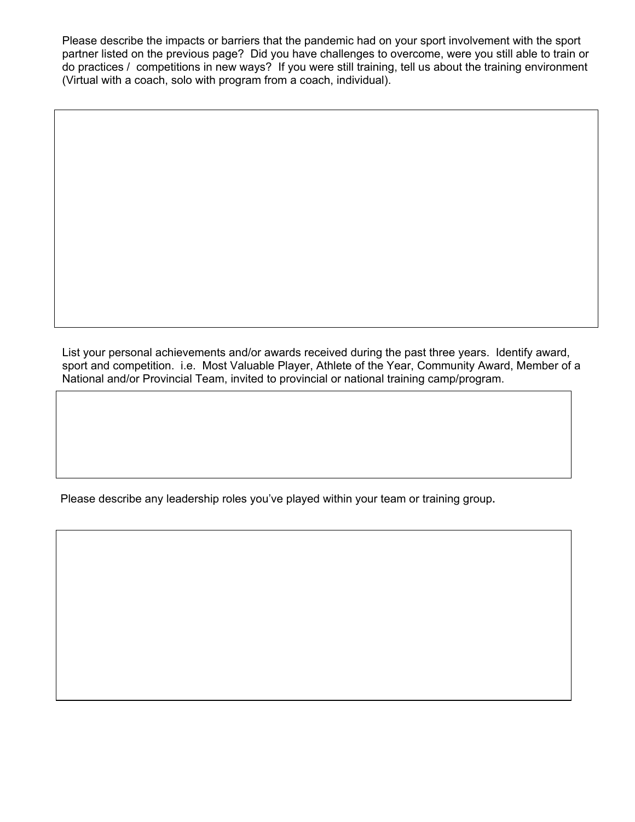Please describe the impacts or barriers that the pandemic had on your sport involvement with the sport partner listed on the previous page? Did you have challenges to overcome, were you still able to train or do practices / competitions in new ways? If you were still training, tell us about the training environment (Virtual with a coach, solo with program from a coach, individual).

List your personal achievements and/or awards received during the past three years. Identify award, sport and competition. i.e.Most Valuable Player, Athlete of the Year, Community Award, Member of a National and/or Provincial Team, invited to provincial or national training camp/program.

Please describe any leadership roles you've played within your team or training group**.**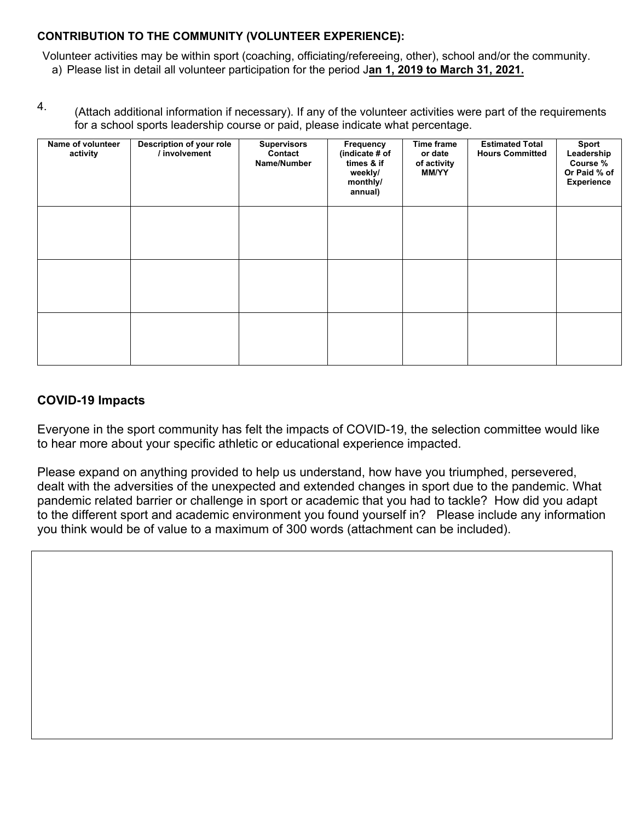# **CONTRIBUTION TO THE COMMUNITY (VOLUNTEER EXPERIENCE):**

Volunteer activities may be within sport (coaching, officiating/refereeing, other), school and/or the community. a) Please list in detail all volunteer participation for the period J**an 1, 2019 to March 31, 2021.**

(Attach additional information if necessary). If any of the volunteer activities were part of the requirements for a school sports leadership course or paid, please indicate what percentage. 4.

| Name of volunteer<br>activity | Description of your role<br>/ involvement | <b>Supervisors</b><br>Contact<br>Name/Number | Frequency<br>(indicate # of<br>times & if<br>weekly/<br>monthly/<br>annual) | Time frame<br>or date<br>of activity<br><b>MM/YY</b> | <b>Estimated Total</b><br><b>Hours Committed</b> | Sport<br>Leadership<br>Course %<br>Or Paid % of<br>Experience |
|-------------------------------|-------------------------------------------|----------------------------------------------|-----------------------------------------------------------------------------|------------------------------------------------------|--------------------------------------------------|---------------------------------------------------------------|
|                               |                                           |                                              |                                                                             |                                                      |                                                  |                                                               |
|                               |                                           |                                              |                                                                             |                                                      |                                                  |                                                               |
|                               |                                           |                                              |                                                                             |                                                      |                                                  |                                                               |

# **COVID-19 Impacts**

Everyone in the sport community has felt the impacts of COVID-19, the selection committee would like to hear more about your specific athletic or educational experience impacted.

Please expand on anything provided to help us understand, how have you triumphed, persevered, dealt with the adversities of the unexpected and extended changes in sport due to the pandemic. What pandemic related barrier or challenge in sport or academic that you had to tackle? How did you adapt to the different sport and academic environment you found yourself in? Please include any information you think would be of value to a maximum of 300 words (attachment can be included).